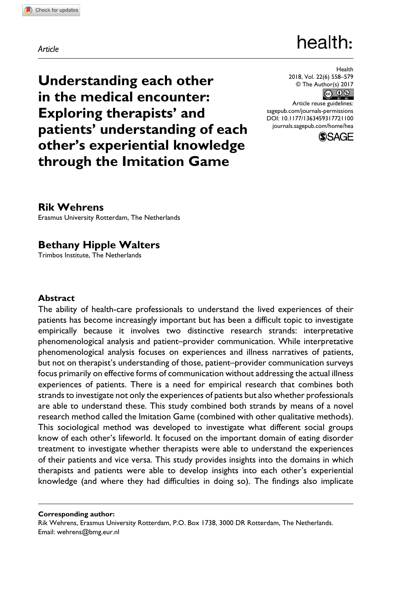**7211[00](http://crossmark.crossref.org/dialog/?doi=10.1177%2F1363459317721100&domain=pdf&date_stamp=2017-08-03)** HEA0010.1177/1363459317721100Health**Wehrens and Walters**

#### *Article*

**Understanding each other in the medical encounter: Exploring therapists' and patients' understanding of each other's experiential knowledge through the Imitation Game**

Health 2018, Vol. 22(6) 558–579  $\circ$  The Author(s) 2017

DOI: 10.1177/1363459317721100 Article reuse guidelines: [sagepub.com/journals-permissions](https://uk.sagepub.com/en-gb/journals-permissions) [journals.sagepub.com/home/hea](https://journals.sagepub.com/home/hea)



## **Rik Wehrens**

Erasmus University Rotterdam, The Netherlands

# **Bethany Hipple Walters**

Trimbos Institute, The Netherlands

#### **Abstract**

The ability of health-care professionals to understand the lived experiences of their patients has become increasingly important but has been a difficult topic to investigate empirically because it involves two distinctive research strands: interpretative phenomenological analysis and patient–provider communication. While interpretative phenomenological analysis focuses on experiences and illness narratives of patients, but not on therapist's understanding of those, patient–provider communication surveys focus primarily on effective forms of communication without addressing the actual illness experiences of patients. There is a need for empirical research that combines both strands to investigate not only the experiences of patients but also whether professionals are able to understand these. This study combined both strands by means of a novel research method called the Imitation Game (combined with other qualitative methods). This sociological method was developed to investigate what different social groups know of each other's lifeworld. It focused on the important domain of eating disorder treatment to investigate whether therapists were able to understand the experiences of their patients and vice versa. This study provides insights into the domains in which therapists and patients were able to develop insights into each other's experiential knowledge (and where they had difficulties in doing so). The findings also implicate

**Corresponding author:**

Rik Wehrens, Erasmus University Rotterdam, P.O. Box 1738, 3000 DR Rotterdam, The Netherlands. Email: [wehrens@bmg.eur.nl](mailto:wehrens@bmg.eur.nl)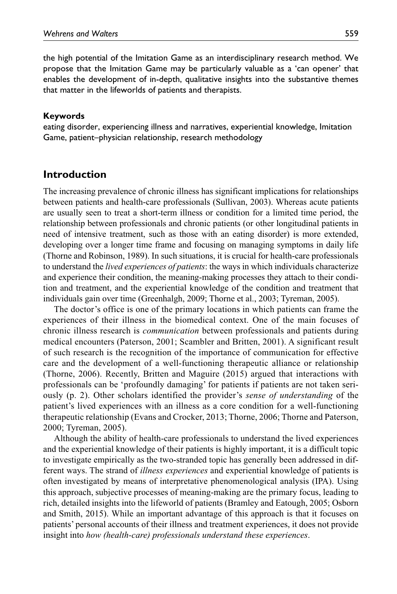the high potential of the Imitation Game as an interdisciplinary research method. We propose that the Imitation Game may be particularly valuable as a 'can opener' that enables the development of in-depth, qualitative insights into the substantive themes that matter in the lifeworlds of patients and therapists.

#### **Keywords**

eating disorder, experiencing illness and narratives, experiential knowledge, Imitation Game, patient–physician relationship, research methodology

## **Introduction**

The increasing prevalence of chronic illness has significant implications for relationships between patients and health-care professionals (Sullivan, 2003). Whereas acute patients are usually seen to treat a short-term illness or condition for a limited time period, the relationship between professionals and chronic patients (or other longitudinal patients in need of intensive treatment, such as those with an eating disorder) is more extended, developing over a longer time frame and focusing on managing symptoms in daily life (Thorne and Robinson, 1989). In such situations, it is crucial for health-care professionals to understand the *lived experiences of patients*: the ways in which individuals characterize and experience their condition, the meaning-making processes they attach to their condition and treatment, and the experiential knowledge of the condition and treatment that individuals gain over time (Greenhalgh, 2009; Thorne et al., 2003; Tyreman, 2005).

The doctor's office is one of the primary locations in which patients can frame the experiences of their illness in the biomedical context. One of the main focuses of chronic illness research is *communication* between professionals and patients during medical encounters (Paterson, 2001; Scambler and Britten, 2001). A significant result of such research is the recognition of the importance of communication for effective care and the development of a well-functioning therapeutic alliance or relationship (Thorne, 2006). Recently, Britten and Maguire (2015) argued that interactions with professionals can be 'profoundly damaging' for patients if patients are not taken seriously (p. 2). Other scholars identified the provider's *sense of understanding* of the patient's lived experiences with an illness as a core condition for a well-functioning therapeutic relationship (Evans and Crocker, 2013; Thorne, 2006; Thorne and Paterson, 2000; Tyreman, 2005).

Although the ability of health-care professionals to understand the lived experiences and the experiential knowledge of their patients is highly important, it is a difficult topic to investigate empirically as the two-stranded topic has generally been addressed in different ways. The strand of *illness experiences* and experiential knowledge of patients is often investigated by means of interpretative phenomenological analysis (IPA). Using this approach, subjective processes of meaning-making are the primary focus, leading to rich, detailed insights into the lifeworld of patients (Bramley and Eatough, 2005; Osborn and Smith, 2015). While an important advantage of this approach is that it focuses on patients' personal accounts of their illness and treatment experiences, it does not provide insight into *how (health-care) professionals understand these experiences*.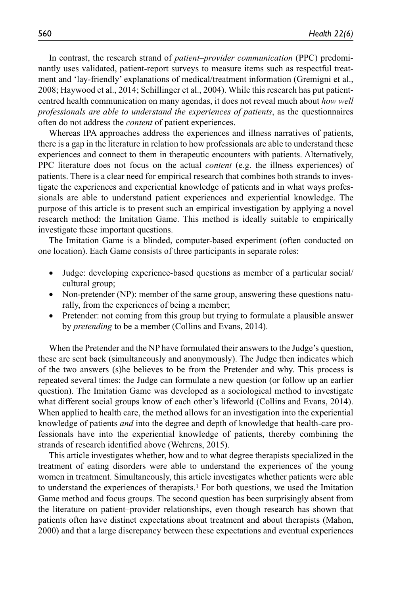In contrast, the research strand of *patient–provider communication* (PPC) predominantly uses validated, patient-report surveys to measure items such as respectful treatment and 'lay-friendly' explanations of medical/treatment information (Gremigni et al., 2008; Haywood et al., 2014; Schillinger et al., 2004). While this research has put patientcentred health communication on many agendas, it does not reveal much about *how well professionals are able to understand the experiences of patients*, as the questionnaires often do not address the *content* of patient experiences.

Whereas IPA approaches address the experiences and illness narratives of patients, there is a gap in the literature in relation to how professionals are able to understand these experiences and connect to them in therapeutic encounters with patients. Alternatively, PPC literature does not focus on the actual *content* (e.g. the illness experiences) of patients. There is a clear need for empirical research that combines both strands to investigate the experiences and experiential knowledge of patients and in what ways professionals are able to understand patient experiences and experiential knowledge. The purpose of this article is to present such an empirical investigation by applying a novel research method: the Imitation Game. This method is ideally suitable to empirically investigate these important questions.

The Imitation Game is a blinded, computer-based experiment (often conducted on one location). Each Game consists of three participants in separate roles:

- Judge: developing experience-based questions as member of a particular social/ cultural group;
- Non-pretender (NP): member of the same group, answering these questions naturally, from the experiences of being a member;
- Pretender: not coming from this group but trying to formulate a plausible answer by *pretending* to be a member (Collins and Evans, 2014).

When the Pretender and the NP have formulated their answers to the Judge's question, these are sent back (simultaneously and anonymously). The Judge then indicates which of the two answers (s)he believes to be from the Pretender and why. This process is repeated several times: the Judge can formulate a new question (or follow up an earlier question). The Imitation Game was developed as a sociological method to investigate what different social groups know of each other's lifeworld (Collins and Evans, 2014). When applied to health care, the method allows for an investigation into the experiential knowledge of patients *and* into the degree and depth of knowledge that health-care professionals have into the experiential knowledge of patients, thereby combining the strands of research identified above (Wehrens, 2015).

This article investigates whether, how and to what degree therapists specialized in the treatment of eating disorders were able to understand the experiences of the young women in treatment. Simultaneously, this article investigates whether patients were able to understand the experiences of therapists.<sup>1</sup> For both questions, we used the Imitation Game method and focus groups. The second question has been surprisingly absent from the literature on patient–provider relationships, even though research has shown that patients often have distinct expectations about treatment and about therapists (Mahon, 2000) and that a large discrepancy between these expectations and eventual experiences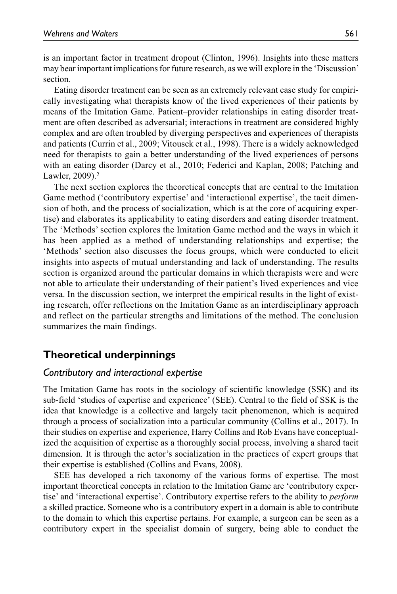is an important factor in treatment dropout (Clinton, 1996). Insights into these matters may bear important implications for future research, as we will explore in the 'Discussion' section.

Eating disorder treatment can be seen as an extremely relevant case study for empirically investigating what therapists know of the lived experiences of their patients by means of the Imitation Game. Patient–provider relationships in eating disorder treatment are often described as adversarial; interactions in treatment are considered highly complex and are often troubled by diverging perspectives and experiences of therapists and patients (Currin et al., 2009; Vitousek et al., 1998). There is a widely acknowledged need for therapists to gain a better understanding of the lived experiences of persons with an eating disorder (Darcy et al., 2010; Federici and Kaplan, 2008; Patching and Lawler, 2009).2

The next section explores the theoretical concepts that are central to the Imitation Game method ('contributory expertise' and 'interactional expertise', the tacit dimension of both, and the process of socialization, which is at the core of acquiring expertise) and elaborates its applicability to eating disorders and eating disorder treatment. The 'Methods' section explores the Imitation Game method and the ways in which it has been applied as a method of understanding relationships and expertise; the 'Methods' section also discusses the focus groups, which were conducted to elicit insights into aspects of mutual understanding and lack of understanding. The results section is organized around the particular domains in which therapists were and were not able to articulate their understanding of their patient's lived experiences and vice versa. In the discussion section, we interpret the empirical results in the light of existing research, offer reflections on the Imitation Game as an interdisciplinary approach and reflect on the particular strengths and limitations of the method. The conclusion summarizes the main findings.

## **Theoretical underpinnings**

#### *Contributory and interactional expertise*

The Imitation Game has roots in the sociology of scientific knowledge (SSK) and its sub-field 'studies of expertise and experience' (SEE). Central to the field of SSK is the idea that knowledge is a collective and largely tacit phenomenon, which is acquired through a process of socialization into a particular community (Collins et al., 2017). In their studies on expertise and experience, Harry Collins and Rob Evans have conceptualized the acquisition of expertise as a thoroughly social process, involving a shared tacit dimension. It is through the actor's socialization in the practices of expert groups that their expertise is established (Collins and Evans, 2008).

SEE has developed a rich taxonomy of the various forms of expertise. The most important theoretical concepts in relation to the Imitation Game are 'contributory expertise' and 'interactional expertise'. Contributory expertise refers to the ability to *perform* a skilled practice. Someone who is a contributory expert in a domain is able to contribute to the domain to which this expertise pertains. For example, a surgeon can be seen as a contributory expert in the specialist domain of surgery, being able to conduct the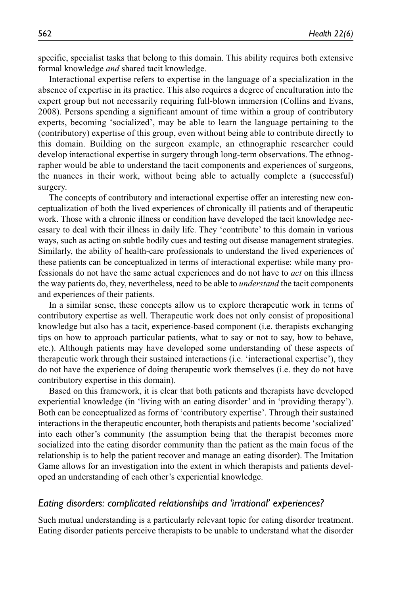specific, specialist tasks that belong to this domain. This ability requires both extensive formal knowledge *and* shared tacit knowledge.

Interactional expertise refers to expertise in the language of a specialization in the absence of expertise in its practice. This also requires a degree of enculturation into the expert group but not necessarily requiring full-blown immersion (Collins and Evans, 2008). Persons spending a significant amount of time within a group of contributory experts, becoming 'socialized', may be able to learn the language pertaining to the (contributory) expertise of this group, even without being able to contribute directly to this domain. Building on the surgeon example, an ethnographic researcher could develop interactional expertise in surgery through long-term observations. The ethnographer would be able to understand the tacit components and experiences of surgeons, the nuances in their work, without being able to actually complete a (successful) surgery.

The concepts of contributory and interactional expertise offer an interesting new conceptualization of both the lived experiences of chronically ill patients and of therapeutic work. Those with a chronic illness or condition have developed the tacit knowledge necessary to deal with their illness in daily life. They 'contribute' to this domain in various ways, such as acting on subtle bodily cues and testing out disease management strategies. Similarly, the ability of health-care professionals to understand the lived experiences of these patients can be conceptualized in terms of interactional expertise: while many professionals do not have the same actual experiences and do not have to *act* on this illness the way patients do, they, nevertheless, need to be able to *understand* the tacit components and experiences of their patients.

In a similar sense, these concepts allow us to explore therapeutic work in terms of contributory expertise as well. Therapeutic work does not only consist of propositional knowledge but also has a tacit, experience-based component (i.e. therapists exchanging tips on how to approach particular patients, what to say or not to say, how to behave, etc.). Although patients may have developed some understanding of these aspects of therapeutic work through their sustained interactions (i.e. 'interactional expertise'), they do not have the experience of doing therapeutic work themselves (i.e. they do not have contributory expertise in this domain).

Based on this framework, it is clear that both patients and therapists have developed experiential knowledge (in 'living with an eating disorder' and in 'providing therapy'). Both can be conceptualized as forms of 'contributory expertise'. Through their sustained interactions in the therapeutic encounter, both therapists and patients become 'socialized' into each other's community (the assumption being that the therapist becomes more socialized into the eating disorder community than the patient as the main focus of the relationship is to help the patient recover and manage an eating disorder). The Imitation Game allows for an investigation into the extent in which therapists and patients developed an understanding of each other's experiential knowledge.

## *Eating disorders: complicated relationships and 'irrational' experiences?*

Such mutual understanding is a particularly relevant topic for eating disorder treatment. Eating disorder patients perceive therapists to be unable to understand what the disorder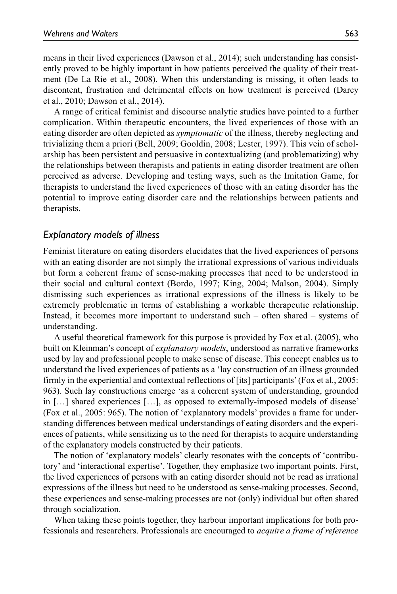means in their lived experiences (Dawson et al., 2014); such understanding has consistently proved to be highly important in how patients perceived the quality of their treatment (De La Rie et al., 2008). When this understanding is missing, it often leads to discontent, frustration and detrimental effects on how treatment is perceived (Darcy et al., 2010; Dawson et al., 2014).

A range of critical feminist and discourse analytic studies have pointed to a further complication. Within therapeutic encounters, the lived experiences of those with an eating disorder are often depicted as *symptomatic* of the illness, thereby neglecting and trivializing them a priori (Bell, 2009; Gooldin, 2008; Lester, 1997). This vein of scholarship has been persistent and persuasive in contextualizing (and problematizing) why the relationships between therapists and patients in eating disorder treatment are often perceived as adverse. Developing and testing ways, such as the Imitation Game, for therapists to understand the lived experiences of those with an eating disorder has the potential to improve eating disorder care and the relationships between patients and therapists.

### *Explanatory models of illness*

Feminist literature on eating disorders elucidates that the lived experiences of persons with an eating disorder are not simply the irrational expressions of various individuals but form a coherent frame of sense-making processes that need to be understood in their social and cultural context (Bordo, 1997; King, 2004; Malson, 2004). Simply dismissing such experiences as irrational expressions of the illness is likely to be extremely problematic in terms of establishing a workable therapeutic relationship. Instead, it becomes more important to understand such – often shared – systems of understanding.

A useful theoretical framework for this purpose is provided by Fox et al. (2005), who built on Kleinman's concept of *explanatory models*, understood as narrative frameworks used by lay and professional people to make sense of disease. This concept enables us to understand the lived experiences of patients as a 'lay construction of an illness grounded firmly in the experiential and contextual reflections of [its] participants' (Fox et al., 2005: 963). Such lay constructions emerge 'as a coherent system of understanding, grounded in […] shared experiences […], as opposed to externally-imposed models of disease' (Fox et al., 2005: 965). The notion of 'explanatory models' provides a frame for understanding differences between medical understandings of eating disorders and the experiences of patients, while sensitizing us to the need for therapists to acquire understanding of the explanatory models constructed by their patients.

The notion of 'explanatory models' clearly resonates with the concepts of 'contributory' and 'interactional expertise'. Together, they emphasize two important points. First, the lived experiences of persons with an eating disorder should not be read as irrational expressions of the illness but need to be understood as sense-making processes. Second, these experiences and sense-making processes are not (only) individual but often shared through socialization.

When taking these points together, they harbour important implications for both professionals and researchers. Professionals are encouraged to *acquire a frame of reference*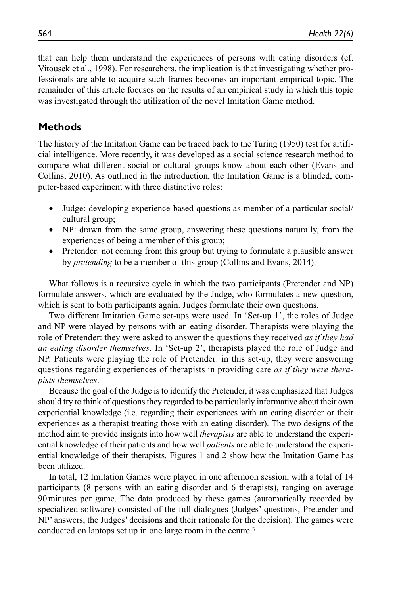that can help them understand the experiences of persons with eating disorders (cf. Vitousek et al., 1998). For researchers, the implication is that investigating whether professionals are able to acquire such frames becomes an important empirical topic. The remainder of this article focuses on the results of an empirical study in which this topic was investigated through the utilization of the novel Imitation Game method.

# **Methods**

The history of the Imitation Game can be traced back to the Turing (1950) test for artificial intelligence. More recently, it was developed as a social science research method to compare what different social or cultural groups know about each other (Evans and Collins, 2010). As outlined in the introduction, the Imitation Game is a blinded, computer-based experiment with three distinctive roles:

- Judge: developing experience-based questions as member of a particular social/ cultural group;
- NP: drawn from the same group, answering these questions naturally, from the experiences of being a member of this group;
- Pretender: not coming from this group but trying to formulate a plausible answer by *pretending* to be a member of this group (Collins and Evans, 2014).

What follows is a recursive cycle in which the two participants (Pretender and NP) formulate answers, which are evaluated by the Judge, who formulates a new question, which is sent to both participants again. Judges formulate their own questions.

Two different Imitation Game set-ups were used. In 'Set-up 1', the roles of Judge and NP were played by persons with an eating disorder. Therapists were playing the role of Pretender: they were asked to answer the questions they received *as if they had an eating disorder themselves*. In 'Set-up 2', therapists played the role of Judge and NP. Patients were playing the role of Pretender: in this set-up, they were answering questions regarding experiences of therapists in providing care *as if they were therapists themselves*.

Because the goal of the Judge is to identify the Pretender, it was emphasized that Judges should try to think of questions they regarded to be particularly informative about their own experiential knowledge (i.e. regarding their experiences with an eating disorder or their experiences as a therapist treating those with an eating disorder). The two designs of the method aim to provide insights into how well *therapists* are able to understand the experiential knowledge of their patients and how well *patients* are able to understand the experiential knowledge of their therapists. Figures 1 and 2 show how the Imitation Game has been utilized.

In total, 12 Imitation Games were played in one afternoon session, with a total of 14 participants (8 persons with an eating disorder and 6 therapists), ranging on average 90minutes per game. The data produced by these games (automatically recorded by specialized software) consisted of the full dialogues (Judges' questions, Pretender and NP' answers, the Judges' decisions and their rationale for the decision). The games were conducted on laptops set up in one large room in the centre.<sup>3</sup>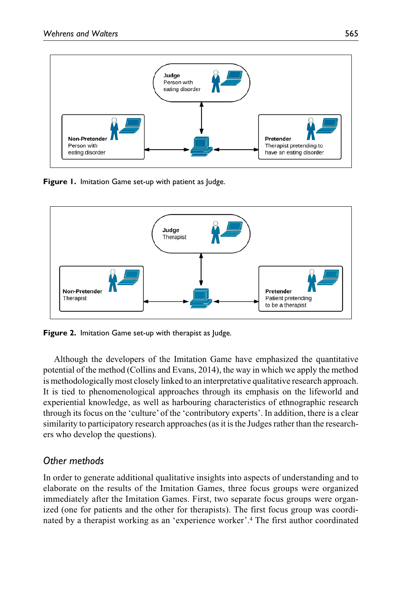

**Figure 1.** Imitation Game set-up with patient as Judge.



**Figure 2.** Imitation Game set-up with therapist as Judge.

Although the developers of the Imitation Game have emphasized the quantitative potential of the method (Collins and Evans, 2014), the way in which we apply the method is methodologically most closely linked to an interpretative qualitative research approach. It is tied to phenomenological approaches through its emphasis on the lifeworld and experiential knowledge, as well as harbouring characteristics of ethnographic research through its focus on the 'culture' of the 'contributory experts'. In addition, there is a clear similarity to participatory research approaches (as it is the Judges rather than the researchers who develop the questions).

# *Other methods*

In order to generate additional qualitative insights into aspects of understanding and to elaborate on the results of the Imitation Games, three focus groups were organized immediately after the Imitation Games. First, two separate focus groups were organized (one for patients and the other for therapists). The first focus group was coordinated by a therapist working as an 'experience worker'.4 The first author coordinated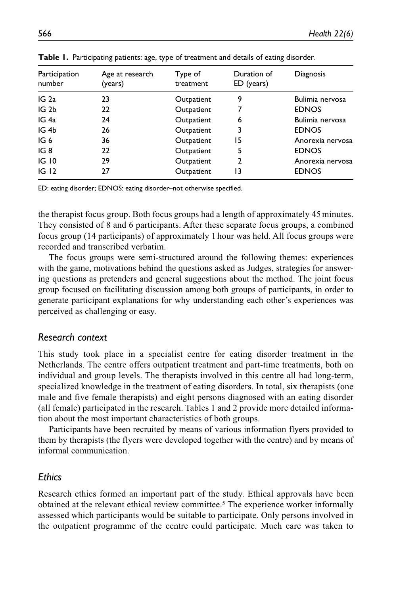| Participation<br>number | Age at research<br>(years) | Type of<br>treatment | Duration of<br>ED (years) | Diagnosis        |
|-------------------------|----------------------------|----------------------|---------------------------|------------------|
| IG <sub>2a</sub>        | 23                         | Outpatient           | 9                         | Bulimia nervosa  |
| IG 2b                   | 22                         | Outpatient           | 7                         | <b>EDNOS</b>     |
| IG 4a                   | 24                         | Outpatient           | 6                         | Bulimia nervosa  |
| IG 4b                   | 26                         | Outpatient           | 3                         | <b>EDNOS</b>     |
| IG <sub>6</sub>         | 36                         | Outpatient           | 15                        | Anorexia nervosa |
| IG 8                    | 22                         | Outpatient           | 5                         | <b>EDNOS</b>     |
| $IG$ 10                 | 29                         | Outpatient           | 2                         | Anorexia nervosa |
| IGI2                    | 27                         | Outpatient           | 13                        | <b>EDNOS</b>     |

**Table 1.** Participating patients: age, type of treatment and details of eating disorder.

ED: eating disorder; EDNOS: eating disorder–not otherwise specified.

the therapist focus group. Both focus groups had a length of approximately 45minutes. They consisted of 8 and 6 participants. After these separate focus groups, a combined focus group (14 participants) of approximately 1 hour was held. All focus groups were recorded and transcribed verbatim.

The focus groups were semi-structured around the following themes: experiences with the game, motivations behind the questions asked as Judges, strategies for answering questions as pretenders and general suggestions about the method. The joint focus group focused on facilitating discussion among both groups of participants, in order to generate participant explanations for why understanding each other's experiences was perceived as challenging or easy.

### *Research context*

This study took place in a specialist centre for eating disorder treatment in the Netherlands. The centre offers outpatient treatment and part-time treatments, both on individual and group levels. The therapists involved in this centre all had long-term, specialized knowledge in the treatment of eating disorders. In total, six therapists (one male and five female therapists) and eight persons diagnosed with an eating disorder (all female) participated in the research. Tables 1 and 2 provide more detailed information about the most important characteristics of both groups.

Participants have been recruited by means of various information flyers provided to them by therapists (the flyers were developed together with the centre) and by means of informal communication.

### *Ethics*

Research ethics formed an important part of the study. Ethical approvals have been obtained at the relevant ethical review committee.5 The experience worker informally assessed which participants would be suitable to participate. Only persons involved in the outpatient programme of the centre could participate. Much care was taken to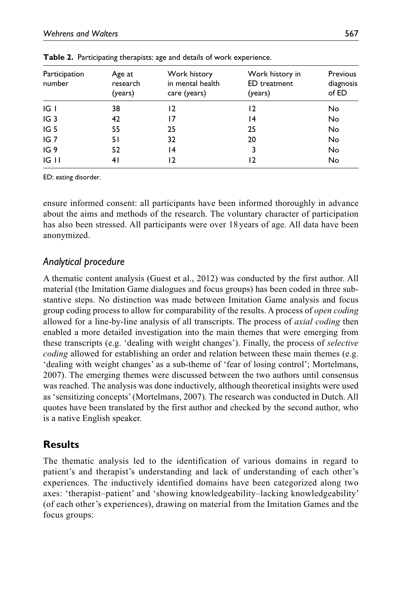| Participation<br>number | Age at<br>research<br>(years) | Work history<br>in mental health<br>care (years) | Work history in<br>ED treatment<br>(years) | Previous<br>diagnosis<br>of ED |
|-------------------------|-------------------------------|--------------------------------------------------|--------------------------------------------|--------------------------------|
| G                       | 38                            | 12                                               | 12                                         | No                             |
| IG <sub>3</sub>         | 42                            | 17                                               | 14                                         | No                             |
| IG <sub>5</sub>         | 55                            | 25                                               | 25                                         | No                             |
| IG 7                    | 51                            | 32                                               | 20                                         | No                             |
| IG9                     | 52                            | 14                                               | 3                                          | No                             |
| G                       | 41                            | 12                                               | 12                                         | No                             |
|                         |                               |                                                  |                                            |                                |

**Table 2.** Participating therapists: age and details of work experience.

ED: eating disorder.

ensure informed consent: all participants have been informed thoroughly in advance about the aims and methods of the research. The voluntary character of participation has also been stressed. All participants were over 18 years of age. All data have been anonymized.

# *Analytical procedure*

A thematic content analysis (Guest et al., 2012) was conducted by the first author. All material (the Imitation Game dialogues and focus groups) has been coded in three substantive steps. No distinction was made between Imitation Game analysis and focus group coding process to allow for comparability of the results. A process of *open coding* allowed for a line-by-line analysis of all transcripts. The process of *axial coding* then enabled a more detailed investigation into the main themes that were emerging from these transcripts (e.g. 'dealing with weight changes'). Finally, the process of *selective coding* allowed for establishing an order and relation between these main themes (e.g. 'dealing with weight changes' as a sub-theme of 'fear of losing control'; Mortelmans, 2007). The emerging themes were discussed between the two authors until consensus was reached. The analysis was done inductively, although theoretical insights were used as 'sensitizing concepts' (Mortelmans, 2007). The research was conducted in Dutch. All quotes have been translated by the first author and checked by the second author, who is a native English speaker.

# **Results**

The thematic analysis led to the identification of various domains in regard to patient's and therapist's understanding and lack of understanding of each other's experiences. The inductively identified domains have been categorized along two axes: 'therapist–patient' and 'showing knowledgeability–lacking knowledgeability' (of each other's experiences), drawing on material from the Imitation Games and the focus groups: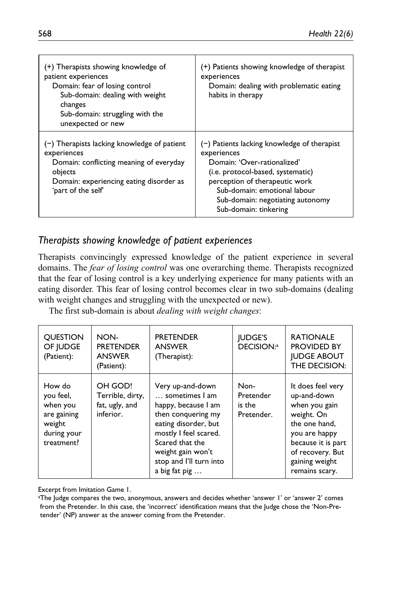| (+) Therapists showing knowledge of<br>patient experiences<br>Domain: fear of losing control<br>Sub-domain: dealing with weight<br>changes<br>Sub-domain: struggling with the<br>unexpected or new | (+) Patients showing knowledge of therapist<br>experiences<br>Domain: dealing with problematic eating<br>habits in therapy                                                                                                                                         |
|----------------------------------------------------------------------------------------------------------------------------------------------------------------------------------------------------|--------------------------------------------------------------------------------------------------------------------------------------------------------------------------------------------------------------------------------------------------------------------|
| (-) Therapists lacking knowledge of patient<br>experiences<br>Domain: conflicting meaning of everyday<br>objects<br>Domain: experiencing eating disorder as<br>'part of the self'                  | $(\neg)$ Patients lacking knowledge of therapist<br>experiences<br>Domain: 'Over-rationalized'<br>(i.e. protocol-based, systematic)<br>perception of therapeutic work<br>Sub-domain: emotional labour<br>Sub-domain: negotiating autonomy<br>Sub-domain: tinkering |

# *Therapists showing knowledge of patient experiences*

Therapists convincingly expressed knowledge of the patient experience in several domains. The *fear of losing control* was one overarching theme. Therapists recognized that the fear of losing control is a key underlying experience for many patients with an eating disorder. This fear of losing control becomes clear in two sub-domains (dealing with weight changes and struggling with the unexpected or new).

The first sub-domain is about *dealing with weight changes*:

| <b>OUESTION</b><br>OF JUDGE<br>(Patient):                                             | NON-<br><b>PRETENDER</b><br><b>ANSWER</b><br>(Patient):    | <b>PRETENDER</b><br><b>ANSWER</b><br>(Therapist):                                                                                                                                                                            | <b>JUDGE'S</b><br>DECISION: <sup>a</sup>  | <b>RATIONALE</b><br><b>PROVIDED BY</b><br><b>JUDGE ABOUT</b><br>THE DECISION:                                                                                                   |
|---------------------------------------------------------------------------------------|------------------------------------------------------------|------------------------------------------------------------------------------------------------------------------------------------------------------------------------------------------------------------------------------|-------------------------------------------|---------------------------------------------------------------------------------------------------------------------------------------------------------------------------------|
| How do<br>you feel,<br>when you<br>are gaining<br>weight<br>during your<br>treatment? | OH GOD!<br>Terrible, dirty,<br>fat, ugly, and<br>inferior. | Very up-and-down<br>sometimes I am<br>happy, because I am<br>then conquering my<br>eating disorder, but<br>mostly I feel scared.<br>Scared that the<br>weight gain won't<br>stop and I'll turn into<br>a big fat $pi \ldots$ | Non-<br>Pretender<br>is the<br>Pretender. | It does feel very<br>up-and-down<br>when you gain<br>weight. On<br>the one hand.<br>you are happy<br>because it is part<br>of recovery. But<br>gaining weight<br>remains scary. |

Excerpt from Imitation Game 1.

a The Judge compares the two, anonymous, answers and decides whether 'answer 1' or 'answer 2' comes from the Pretender. In this case, the 'incorrect' identification means that the Judge chose the 'Non-Pretender' (NP) answer as the answer coming from the Pretender.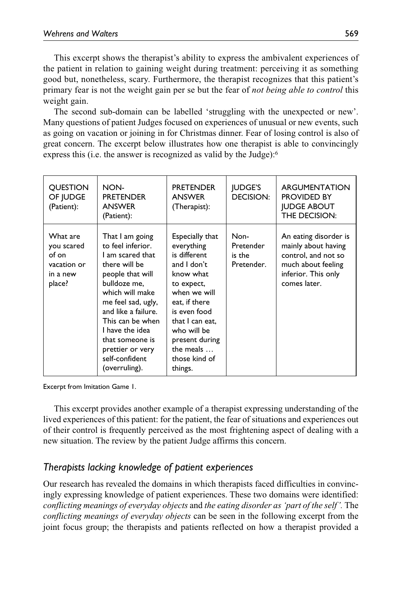This excerpt shows the therapist's ability to express the ambivalent experiences of the patient in relation to gaining weight during treatment: perceiving it as something good but, nonetheless, scary. Furthermore, the therapist recognizes that this patient's primary fear is not the weight gain per se but the fear of *not being able to control* this weight gain.

The second sub-domain can be labelled 'struggling with the unexpected or new'. Many questions of patient Judges focused on experiences of unusual or new events, such as going on vacation or joining in for Christmas dinner. Fear of losing control is also of great concern. The excerpt below illustrates how one therapist is able to convincingly express this (i.e. the answer is recognized as valid by the Judge):6

| <b>OUESTION</b><br>OF JUDGE<br>(Patient):                            | NON-<br><b>PRETENDER</b><br><b>ANSWER</b><br>(Patient):                                                                                                                                                                                                                                        | <b>PRETENDER</b><br><b>ANSWER</b><br>(Therapist):                                                                                                                                                                                     | <b>JUDGE'S</b><br>DECISION:               | <b>ARGUMENTATION</b><br>PROVIDED BY<br><b>JUDGE ABOUT</b><br>THE DECISION:                                                       |
|----------------------------------------------------------------------|------------------------------------------------------------------------------------------------------------------------------------------------------------------------------------------------------------------------------------------------------------------------------------------------|---------------------------------------------------------------------------------------------------------------------------------------------------------------------------------------------------------------------------------------|-------------------------------------------|----------------------------------------------------------------------------------------------------------------------------------|
| What are<br>you scared<br>of on<br>vacation or<br>in a new<br>place? | That I am going<br>to feel inferior.<br>I am scared that<br>there will be<br>people that will<br>bulldoze me,<br>which will make<br>me feel sad, ugly,<br>and like a failure.<br>This can be when<br>I have the idea<br>that someone is<br>prettier or very<br>self-confident<br>(overruling). | Especially that<br>everything<br>is different<br>and I don't<br>know what<br>to expect,<br>when we will<br>eat, if there<br>is even food<br>that I can eat,<br>who will be<br>present during<br>the meals<br>those kind of<br>things. | Non-<br>Pretender<br>is the<br>Pretender. | An eating disorder is<br>mainly about having<br>control, and not so<br>much about feeling<br>inferior. This only<br>comes later. |

Excerpt from Imitation Game 1.

This excerpt provides another example of a therapist expressing understanding of the lived experiences of this patient: for the patient, the fear of situations and experiences out of their control is frequently perceived as the most frightening aspect of dealing with a new situation. The review by the patient Judge affirms this concern.

# *Therapists lacking knowledge of patient experiences*

Our research has revealed the domains in which therapists faced difficulties in convincingly expressing knowledge of patient experiences. These two domains were identified: *conflicting meanings of everyday objects* and *the eating disorder as 'part of the self'.* The *conflicting meanings of everyday objects* can be seen in the following excerpt from the joint focus group; the therapists and patients reflected on how a therapist provided a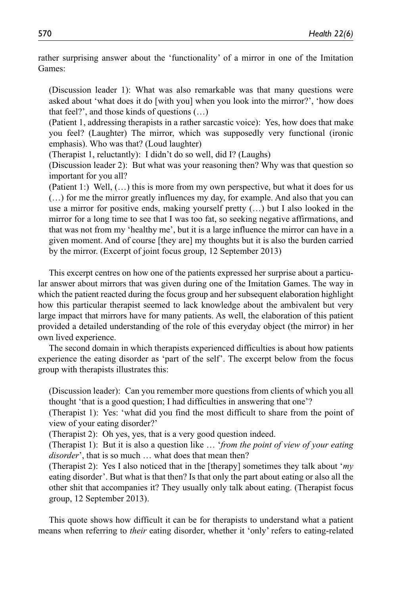rather surprising answer about the 'functionality' of a mirror in one of the Imitation Games:

(Discussion leader 1): What was also remarkable was that many questions were asked about 'what does it do [with you] when you look into the mirror?', 'how does that feel?', and those kinds of questions (…)

(Patient 1, addressing therapists in a rather sarcastic voice): Yes, how does that make you feel? (Laughter) The mirror, which was supposedly very functional (ironic emphasis). Who was that? (Loud laughter)

(Therapist 1, reluctantly): I didn't do so well, did I? (Laughs)

(Discussion leader 2): But what was your reasoning then? Why was that question so important for you all?

(Patient 1:) Well,  $(...)$  this is more from my own perspective, but what it does for us (…) for me the mirror greatly influences my day, for example. And also that you can use a mirror for positive ends, making yourself pretty (…) but I also looked in the mirror for a long time to see that I was too fat, so seeking negative affirmations, and that was not from my 'healthy me', but it is a large influence the mirror can have in a given moment. And of course [they are] my thoughts but it is also the burden carried by the mirror. (Excerpt of joint focus group, 12 September 2013)

This excerpt centres on how one of the patients expressed her surprise about a particular answer about mirrors that was given during one of the Imitation Games. The way in which the patient reacted during the focus group and her subsequent elaboration highlight how this particular therapist seemed to lack knowledge about the ambivalent but very large impact that mirrors have for many patients. As well, the elaboration of this patient provided a detailed understanding of the role of this everyday object (the mirror) in her own lived experience.

The second domain in which therapists experienced difficulties is about how patients experience the eating disorder as 'part of the self'. The excerpt below from the focus group with therapists illustrates this:

(Discussion leader): Can you remember more questions from clients of which you all thought 'that is a good question; I had difficulties in answering that one'?

(Therapist 1): Yes: 'what did you find the most difficult to share from the point of view of your eating disorder?'

(Therapist 2): Oh yes, yes, that is a very good question indeed.

(Therapist 1): But it is also a question like … '*from the point of view of your eating disorder*', that is so much … what does that mean then?

(Therapist 2): Yes I also noticed that in the [therapy] sometimes they talk about '*my* eating disorder'. But what is that then? Is that only the part about eating or also all the other shit that accompanies it? They usually only talk about eating. (Therapist focus group, 12 September 2013).

This quote shows how difficult it can be for therapists to understand what a patient means when referring to *their* eating disorder, whether it 'only' refers to eating-related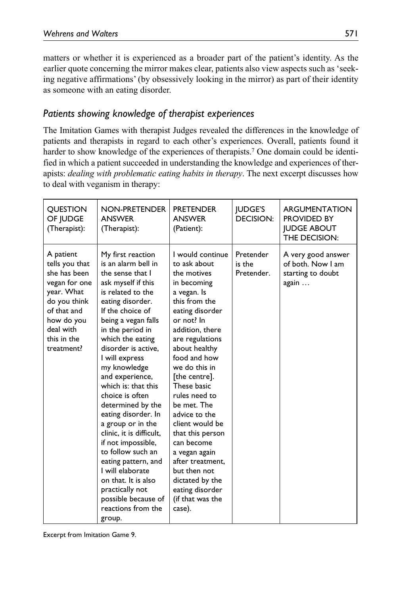matters or whether it is experienced as a broader part of the patient's identity. As the earlier quote concerning the mirror makes clear, patients also view aspects such as 'seeking negative affirmations' (by obsessively looking in the mirror) as part of their identity as someone with an eating disorder.

# *Patients showing knowledge of therapist experiences*

The Imitation Games with therapist Judges revealed the differences in the knowledge of patients and therapists in regard to each other's experiences. Overall, patients found it harder to show knowledge of the experiences of therapists.<sup>7</sup> One domain could be identified in which a patient succeeded in understanding the knowledge and experiences of therapists: *dealing with problematic eating habits in therapy*. The next excerpt discusses how to deal with veganism in therapy:

| <b>QUESTION</b><br>OF JUDGE<br>(Therapist):                                                                                                                       | <b>NON-PRETENDER</b><br><b>ANSWER</b><br>(Therapist):                                                                                                                                                                                                                                                                                                                                                                                                                                                                                                                                                                    | <b>PRETENDER</b><br><b>ANSWER</b><br>(Patient):                                                                                                                                                                                                                                                                                                                                                                                                                                        | <b>JUDGE'S</b><br>DECISION:       | <b>ARGUMENTATION</b><br>PROVIDED BY<br><b>JUDGE ABOUT</b><br>THE DECISION: |
|-------------------------------------------------------------------------------------------------------------------------------------------------------------------|--------------------------------------------------------------------------------------------------------------------------------------------------------------------------------------------------------------------------------------------------------------------------------------------------------------------------------------------------------------------------------------------------------------------------------------------------------------------------------------------------------------------------------------------------------------------------------------------------------------------------|----------------------------------------------------------------------------------------------------------------------------------------------------------------------------------------------------------------------------------------------------------------------------------------------------------------------------------------------------------------------------------------------------------------------------------------------------------------------------------------|-----------------------------------|----------------------------------------------------------------------------|
| A patient<br>tells you that<br>she has been<br>vegan for one<br>year. What<br>do you think<br>of that and<br>how do you<br>deal with<br>this in the<br>treatment? | My first reaction<br>is an alarm bell in<br>the sense that I<br>ask myself if this<br>is related to the<br>eating disorder.<br>If the choice of<br>being a vegan falls<br>in the period in<br>which the eating<br>disorder is active.<br>I will express<br>my knowledge<br>and experience,<br>which is: that this<br>choice is often<br>determined by the<br>eating disorder. In<br>a group or in the<br>clinic, it is difficult,<br>if not impossible,<br>to follow such an<br>eating pattern, and<br>I will elaborate<br>on that. It is also<br>practically not<br>possible because of<br>reactions from the<br>group. | I would continue<br>to ask about<br>the motives<br>in becoming<br>a vegan. Is<br>this from the<br>eating disorder<br>or not? In<br>addition, there<br>are regulations<br>about healthy<br>food and how<br>we do this in<br>[the centre].<br>These basic<br>rules need to<br>be met. The<br>advice to the<br>client would be<br>that this person<br>can become<br>a vegan again<br>after treatment,<br>but then not<br>dictated by the<br>eating disorder<br>(if that was the<br>case). | Pretender<br>is the<br>Pretender. | A very good answer<br>of both. Now I am<br>starting to doubt<br>again      |

Excerpt from Imitation Game 9.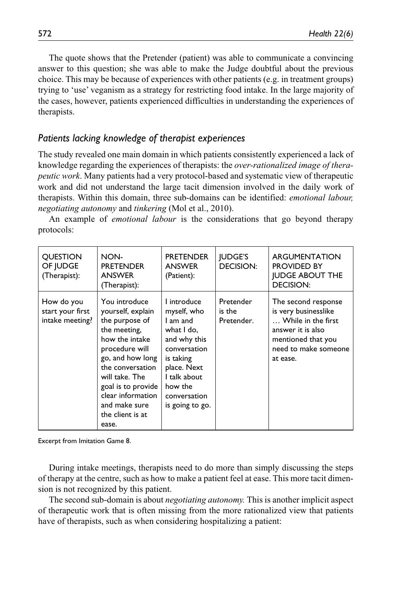The quote shows that the Pretender (patient) was able to communicate a convincing answer to this question; she was able to make the Judge doubtful about the previous choice. This may be because of experiences with other patients (e.g. in treatment groups) trying to 'use' veganism as a strategy for restricting food intake. In the large majority of the cases, however, patients experienced difficulties in understanding the experiences of therapists.

## *Patients lacking knowledge of therapist experiences*

The study revealed one main domain in which patients consistently experienced a lack of knowledge regarding the experiences of therapists: the *over-rationalized image of therapeutic work*. Many patients had a very protocol-based and systematic view of therapeutic work and did not understand the large tacit dimension involved in the daily work of therapists. Within this domain, three sub-domains can be identified: *emotional labour, negotiating autonomy* and *tinkering* (Mol et al., 2010).

An example of *emotional labour* is the considerations that go beyond therapy protocols:

| <b>OUESTION</b><br>OF JUDGE<br>(Therapist):       | NON-<br><b>PRETENDER</b><br><b>ANSWER</b><br>(Therapist):                                                                                                                                                                                                   | <b>PRETENDER</b><br><b>ANSWER</b><br>(Patient):                                                                                                                                | <b>JUDGE'S</b><br>DECISION:       | <b>ARGUMENTATION</b><br>PROVIDED BY<br><b>JUDGE ABOUT THE</b><br>DECISION:                                                                       |
|---------------------------------------------------|-------------------------------------------------------------------------------------------------------------------------------------------------------------------------------------------------------------------------------------------------------------|--------------------------------------------------------------------------------------------------------------------------------------------------------------------------------|-----------------------------------|--------------------------------------------------------------------------------------------------------------------------------------------------|
| How do you<br>start your first<br>intake meeting? | You introduce<br>yourself, explain<br>the purpose of<br>the meeting,<br>how the intake<br>procedure will<br>go, and how long<br>the conversation<br>will take. The<br>goal is to provide<br>clear information<br>and make sure<br>the client is at<br>ease. | l introduce<br>myself, who<br>I am and<br>what I do.<br>and why this<br>conversation<br>is taking<br>place. Next<br>I talk about<br>how the<br>conversation<br>is going to go. | Pretender<br>is the<br>Pretender. | The second response<br>is very businesslike<br>While in the first<br>answer it is also<br>mentioned that you<br>need to make someone<br>at ease. |

Excerpt from Imitation Game 8.

During intake meetings, therapists need to do more than simply discussing the steps of therapy at the centre, such as how to make a patient feel at ease. This more tacit dimension is not recognized by this patient.

The second sub-domain is about *negotiating autonomy.* This is another implicit aspect of therapeutic work that is often missing from the more rationalized view that patients have of therapists, such as when considering hospitalizing a patient: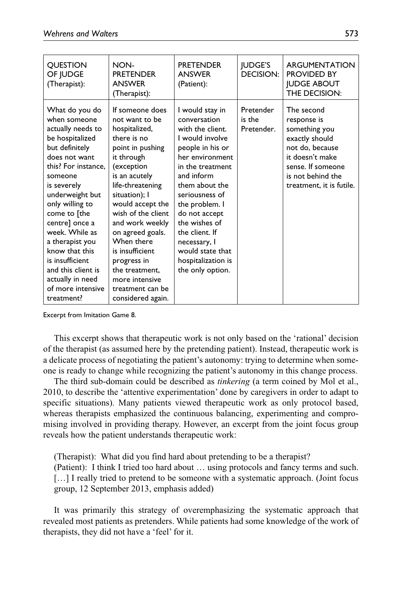| QUESTION<br>OF JUDGE<br>(Therapist):                                                                                                                                                                                                                                                                                                                                                      | NON-<br><b>PRETENDER</b><br><b>ANSWER</b><br>(Therapist):                                                                                                                                                                                                                                                                                                                               | <b>PRETENDER</b><br><b>ANSWER</b><br>(Patient):                                                                                                                                                                                                                                                                                         | <b>JUDGE'S</b><br>DECISION:       | <b>ARGUMENTATION</b><br>PROVIDED BY<br><b>JUDGE ABOUT</b><br>THE DECISION:                                                                                               |
|-------------------------------------------------------------------------------------------------------------------------------------------------------------------------------------------------------------------------------------------------------------------------------------------------------------------------------------------------------------------------------------------|-----------------------------------------------------------------------------------------------------------------------------------------------------------------------------------------------------------------------------------------------------------------------------------------------------------------------------------------------------------------------------------------|-----------------------------------------------------------------------------------------------------------------------------------------------------------------------------------------------------------------------------------------------------------------------------------------------------------------------------------------|-----------------------------------|--------------------------------------------------------------------------------------------------------------------------------------------------------------------------|
| What do you do<br>when someone<br>actually needs to<br>be hospitalized<br>but definitely<br>does not want<br>this? For instance,<br>someone<br>is severely<br>underweight but<br>only willing to<br>come to [the<br>centre] once a<br>week. While as<br>a therapist you<br>know that this<br>is insufficient<br>and this client is<br>actually in need<br>of more intensive<br>treatment? | If someone does<br>not want to be<br>hospitalized,<br>there is no<br>point in pushing<br>it through<br>(exception<br>is an acutely<br>life-threatening<br>situation); I<br>would accept the<br>wish of the client.<br>and work weekly<br>on agreed goals.<br>When there<br>is insufficient.<br>progress in<br>the treatment.<br>more intensive<br>treatment can be<br>considered again. | I would stay in<br>conversation<br>with the client.<br>I would involve<br>people in his or<br>her environment<br>in the treatment<br>and inform<br>them about the<br>seriousness of<br>the problem. I<br>do not accept<br>the wishes of<br>the client. If<br>necessary, I<br>would state that<br>hospitalization is<br>the only option. | Pretender<br>is the<br>Pretender. | The second<br>response is<br>something you<br>exactly should<br>not do, because<br>it doesn't make<br>sense. If someone<br>is not behind the<br>treatment, it is futile. |

Excerpt from Imitation Game 8.

This excerpt shows that therapeutic work is not only based on the 'rational' decision of the therapist (as assumed here by the pretending patient). Instead, therapeutic work is a delicate process of negotiating the patient's autonomy: trying to determine when someone is ready to change while recognizing the patient's autonomy in this change process.

The third sub-domain could be described as *tinkering* (a term coined by Mol et al., 2010, to describe the 'attentive experimentation' done by caregivers in order to adapt to specific situations). Many patients viewed therapeutic work as only protocol based, whereas therapists emphasized the continuous balancing, experimenting and compromising involved in providing therapy. However, an excerpt from the joint focus group reveals how the patient understands therapeutic work:

(Therapist): What did you find hard about pretending to be a therapist? (Patient): I think I tried too hard about … using protocols and fancy terms and such. [...] I really tried to pretend to be someone with a systematic approach. (Joint focus group, 12 September 2013, emphasis added)

It was primarily this strategy of overemphasizing the systematic approach that revealed most patients as pretenders. While patients had some knowledge of the work of therapists, they did not have a 'feel' for it.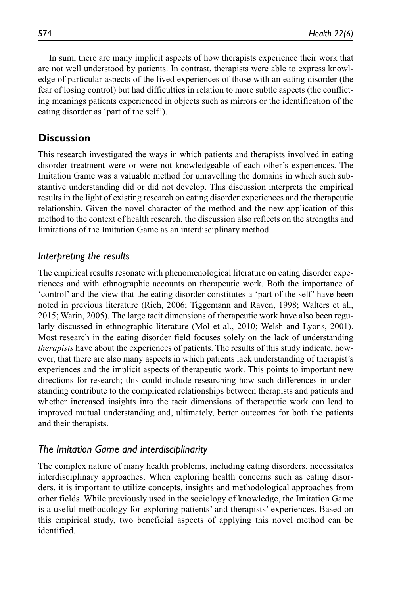In sum, there are many implicit aspects of how therapists experience their work that are not well understood by patients. In contrast, therapists were able to express knowledge of particular aspects of the lived experiences of those with an eating disorder (the fear of losing control) but had difficulties in relation to more subtle aspects (the conflicting meanings patients experienced in objects such as mirrors or the identification of the eating disorder as 'part of the self').

# **Discussion**

This research investigated the ways in which patients and therapists involved in eating disorder treatment were or were not knowledgeable of each other's experiences. The Imitation Game was a valuable method for unravelling the domains in which such substantive understanding did or did not develop. This discussion interprets the empirical results in the light of existing research on eating disorder experiences and the therapeutic relationship. Given the novel character of the method and the new application of this method to the context of health research, the discussion also reflects on the strengths and limitations of the Imitation Game as an interdisciplinary method.

# *Interpreting the results*

The empirical results resonate with phenomenological literature on eating disorder experiences and with ethnographic accounts on therapeutic work. Both the importance of 'control' and the view that the eating disorder constitutes a 'part of the self' have been noted in previous literature (Rich, 2006; Tiggemann and Raven, 1998; Walters et al., 2015; Warin, 2005). The large tacit dimensions of therapeutic work have also been regularly discussed in ethnographic literature (Mol et al., 2010; Welsh and Lyons, 2001). Most research in the eating disorder field focuses solely on the lack of understanding *therapists* have about the experiences of patients. The results of this study indicate, however, that there are also many aspects in which patients lack understanding of therapist's experiences and the implicit aspects of therapeutic work. This points to important new directions for research; this could include researching how such differences in understanding contribute to the complicated relationships between therapists and patients and whether increased insights into the tacit dimensions of therapeutic work can lead to improved mutual understanding and, ultimately, better outcomes for both the patients and their therapists.

## *The Imitation Game and interdisciplinarity*

The complex nature of many health problems, including eating disorders, necessitates interdisciplinary approaches. When exploring health concerns such as eating disorders, it is important to utilize concepts, insights and methodological approaches from other fields. While previously used in the sociology of knowledge, the Imitation Game is a useful methodology for exploring patients' and therapists' experiences. Based on this empirical study, two beneficial aspects of applying this novel method can be identified.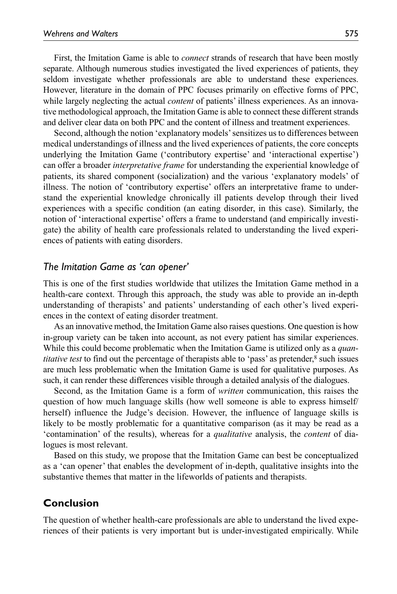First, the Imitation Game is able to *connect* strands of research that have been mostly separate. Although numerous studies investigated the lived experiences of patients, they seldom investigate whether professionals are able to understand these experiences. However, literature in the domain of PPC focuses primarily on effective forms of PPC, while largely neglecting the actual *content* of patients' illness experiences. As an innovative methodological approach, the Imitation Game is able to connect these different strands and deliver clear data on both PPC and the content of illness and treatment experiences.

Second, although the notion 'explanatory models' sensitizes us to differences between medical understandings of illness and the lived experiences of patients, the core concepts underlying the Imitation Game ('contributory expertise' and 'interactional expertise') can offer a broader *interpretative frame* for understanding the experiential knowledge of patients, its shared component (socialization) and the various 'explanatory models' of illness. The notion of 'contributory expertise' offers an interpretative frame to understand the experiential knowledge chronically ill patients develop through their lived experiences with a specific condition (an eating disorder, in this case). Similarly, the notion of 'interactional expertise' offers a frame to understand (and empirically investigate) the ability of health care professionals related to understanding the lived experiences of patients with eating disorders.

### *The Imitation Game as 'can opener'*

This is one of the first studies worldwide that utilizes the Imitation Game method in a health-care context. Through this approach, the study was able to provide an in-depth understanding of therapists' and patients' understanding of each other's lived experiences in the context of eating disorder treatment.

As an innovative method, the Imitation Game also raises questions. One question is how in-group variety can be taken into account, as not every patient has similar experiences. While this could become problematic when the Imitation Game is utilized only as a *quantitative test* to find out the percentage of therapists able to 'pass' as pretender,<sup>8</sup> such issues are much less problematic when the Imitation Game is used for qualitative purposes. As such, it can render these differences visible through a detailed analysis of the dialogues.

Second, as the Imitation Game is a form of *written* communication, this raises the question of how much language skills (how well someone is able to express himself/ herself) influence the Judge's decision. However, the influence of language skills is likely to be mostly problematic for a quantitative comparison (as it may be read as a 'contamination' of the results), whereas for a *qualitative* analysis, the *content* of dialogues is most relevant.

Based on this study, we propose that the Imitation Game can best be conceptualized as a 'can opener' that enables the development of in-depth, qualitative insights into the substantive themes that matter in the lifeworlds of patients and therapists.

## **Conclusion**

The question of whether health-care professionals are able to understand the lived experiences of their patients is very important but is under-investigated empirically. While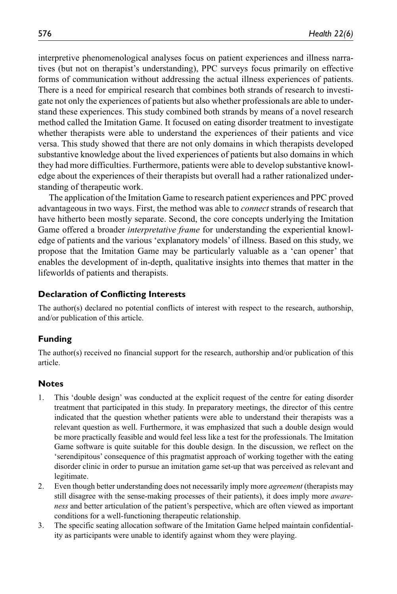interpretive phenomenological analyses focus on patient experiences and illness narratives (but not on therapist's understanding), PPC surveys focus primarily on effective forms of communication without addressing the actual illness experiences of patients. There is a need for empirical research that combines both strands of research to investigate not only the experiences of patients but also whether professionals are able to understand these experiences. This study combined both strands by means of a novel research method called the Imitation Game. It focused on eating disorder treatment to investigate whether therapists were able to understand the experiences of their patients and vice versa. This study showed that there are not only domains in which therapists developed substantive knowledge about the lived experiences of patients but also domains in which they had more difficulties. Furthermore, patients were able to develop substantive knowledge about the experiences of their therapists but overall had a rather rationalized understanding of therapeutic work.

The application of the Imitation Game to research patient experiences and PPC proved advantageous in two ways. First, the method was able to *connect* strands of research that have hitherto been mostly separate. Second, the core concepts underlying the Imitation Game offered a broader *interpretative frame* for understanding the experiential knowledge of patients and the various 'explanatory models' of illness. Based on this study, we propose that the Imitation Game may be particularly valuable as a 'can opener' that enables the development of in-depth, qualitative insights into themes that matter in the lifeworlds of patients and therapists.

#### **Declaration of Conflicting Interests**

The author(s) declared no potential conflicts of interest with respect to the research, authorship, and/or publication of this article.

#### **Funding**

The author(s) received no financial support for the research, authorship and/or publication of this article.

#### **Notes**

- 1. This 'double design' was conducted at the explicit request of the centre for eating disorder treatment that participated in this study. In preparatory meetings, the director of this centre indicated that the question whether patients were able to understand their therapists was a relevant question as well. Furthermore, it was emphasized that such a double design would be more practically feasible and would feel less like a test for the professionals. The Imitation Game software is quite suitable for this double design. In the discussion, we reflect on the 'serendipitous' consequence of this pragmatist approach of working together with the eating disorder clinic in order to pursue an imitation game set-up that was perceived as relevant and legitimate.
- 2. Even though better understanding does not necessarily imply more *agreement* (therapists may still disagree with the sense-making processes of their patients), it does imply more *awareness* and better articulation of the patient's perspective, which are often viewed as important conditions for a well-functioning therapeutic relationship.
- 3. The specific seating allocation software of the Imitation Game helped maintain confidentiality as participants were unable to identify against whom they were playing.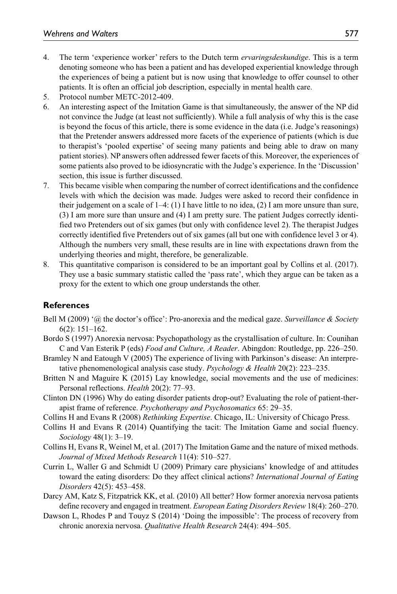- 4. The term 'experience worker' refers to the Dutch term *ervaringsdeskundige*. This is a term denoting someone who has been a patient and has developed experiential knowledge through the experiences of being a patient but is now using that knowledge to offer counsel to other patients. It is often an official job description, especially in mental health care.
- 5. Protocol number METC-2012-409.
- 6. An interesting aspect of the Imitation Game is that simultaneously, the answer of the NP did not convince the Judge (at least not sufficiently). While a full analysis of why this is the case is beyond the focus of this article, there is some evidence in the data (i.e. Judge's reasonings) that the Pretender answers addressed more facets of the experience of patients (which is due to therapist's 'pooled expertise' of seeing many patients and being able to draw on many patient stories). NP answers often addressed fewer facets of this. Moreover, the experiences of some patients also proved to be idiosyncratic with the Judge's experience. In the 'Discussion' section, this issue is further discussed.
- 7. This became visible when comparing the number of correct identifications and the confidence levels with which the decision was made. Judges were asked to record their confidence in their judgement on a scale of  $1-4$ : (1) I have little to no idea, (2) I am more unsure than sure, (3) I am more sure than unsure and (4) I am pretty sure. The patient Judges correctly identified two Pretenders out of six games (but only with confidence level 2). The therapist Judges correctly identified five Pretenders out of six games (all but one with confidence level 3 or 4). Although the numbers very small, these results are in line with expectations drawn from the underlying theories and might, therefore, be generalizable.
- 8. This quantitative comparison is considered to be an important goal by Collins et al. (2017). They use a basic summary statistic called the 'pass rate', which they argue can be taken as a proxy for the extent to which one group understands the other.

## **References**

- Bell M (2009) '@ the doctor's office': Pro-anorexia and the medical gaze. *Surveillance & Society* 6(2): 151–162.
- Bordo S (1997) Anorexia nervosa: Psychopathology as the crystallisation of culture. In: Counihan C and Van Esterik P (eds) *Food and Culture, A Reader*. Abingdon: Routledge, pp. 226–250.
- Bramley N and Eatough V (2005) The experience of living with Parkinson's disease: An interpretative phenomenological analysis case study. *Psychology & Health* 20(2): 223–235.
- Britten N and Maguire K (2015) Lay knowledge, social movements and the use of medicines: Personal reflections. *Health* 20(2): 77–93.
- Clinton DN (1996) Why do eating disorder patients drop-out? Evaluating the role of patient-therapist frame of reference. *Psychotherapy and Psychosomatics* 65: 29–35.
- Collins H and Evans R (2008) *Rethinking Expertise*. Chicago, IL: University of Chicago Press.
- Collins H and Evans R (2014) Quantifying the tacit: The Imitation Game and social fluency. *Sociology* 48(1): 3–19.
- Collins H, Evans R, Weinel M, et al. (2017) The Imitation Game and the nature of mixed methods. *Journal of Mixed Methods Research* 11(4): 510–527.
- Currin L, Waller G and Schmidt U (2009) Primary care physicians' knowledge of and attitudes toward the eating disorders: Do they affect clinical actions? *International Journal of Eating Disorders* 42(5): 453–458.
- Darcy AM, Katz S, Fitzpatrick KK, et al. (2010) All better? How former anorexia nervosa patients define recovery and engaged in treatment. *European Eating Disorders Review* 18(4): 260–270.
- Dawson L, Rhodes P and Touyz S (2014) 'Doing the impossible': The process of recovery from chronic anorexia nervosa. *Qualitative Health Research* 24(4): 494–505.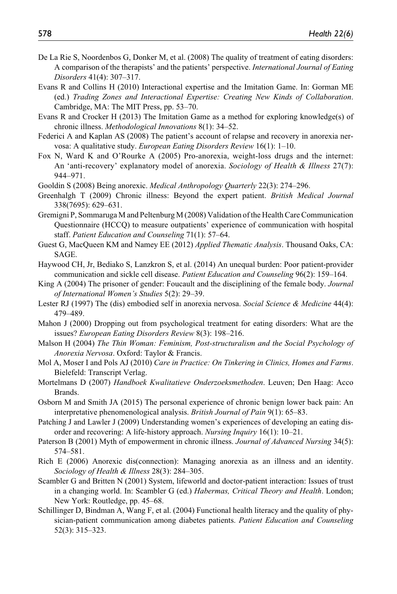- De La Rie S, Noordenbos G, Donker M, et al. (2008) The quality of treatment of eating disorders: A comparison of the therapists' and the patients' perspective. *International Journal of Eating Disorders* 41(4): 307–317.
- Evans R and Collins H (2010) Interactional expertise and the Imitation Game. In: Gorman ME (ed.) *Trading Zones and Interactional Expertise: Creating New Kinds of Collaboration*. Cambridge, MA: The MIT Press, pp. 53–70.
- Evans R and Crocker H (2013) The Imitation Game as a method for exploring knowledge(s) of chronic illness. *Methodological Innovations* 8(1): 34–52.
- Federici A and Kaplan AS (2008) The patient's account of relapse and recovery in anorexia nervosa: A qualitative study. *European Eating Disorders Review* 16(1): 1–10.
- Fox N, Ward K and O'Rourke A (2005) Pro-anorexia, weight-loss drugs and the internet: An 'anti-recovery' explanatory model of anorexia. *Sociology of Health & Illness* 27(7): 944–971.
- Gooldin S (2008) Being anorexic. *Medical Anthropology Quarterly* 22(3): 274–296.
- Greenhalgh T (2009) Chronic illness: Beyond the expert patient. *British Medical Journal* 338(7695): 629–631.
- Gremigni P, Sommaruga M and Peltenburg M (2008) Validation of the Health Care Communication Questionnaire (HCCQ) to measure outpatients' experience of communication with hospital staff. *Patient Education and Counseling* 71(1): 57–64.
- Guest G, MacQueen KM and Namey EE (2012) *Applied Thematic Analysis*. Thousand Oaks, CA: SAGE.
- Haywood CH, Jr, Bediako S, Lanzkron S, et al. (2014) An unequal burden: Poor patient-provider communication and sickle cell disease. *Patient Education and Counseling* 96(2): 159–164.
- King A (2004) The prisoner of gender: Foucault and the disciplining of the female body. *Journal of International Women's Studies* 5(2): 29–39.
- Lester RJ (1997) The (dis) embodied self in anorexia nervosa. *Social Science & Medicine* 44(4): 479–489.
- Mahon J (2000) Dropping out from psychological treatment for eating disorders: What are the issues? *European Eating Disorders Review* 8(3): 198–216.
- Malson H (2004) *The Thin Woman: Feminism, Post-structuralism and the Social Psychology of Anorexia Nervosa*. Oxford: Taylor & Francis.
- Mol A, Moser I and Pols AJ (2010) *Care in Practice: On Tinkering in Clinics, Homes and Farms*. Bielefeld: Transcript Verlag.
- Mortelmans D (2007) *Handboek Kwalitatieve Onderzoeksmethoden*. Leuven; Den Haag: Acco Brands.
- Osborn M and Smith JA (2015) The personal experience of chronic benign lower back pain: An interpretative phenomenological analysis. *British Journal of Pain* 9(1): 65–83.
- Patching J and Lawler J (2009) Understanding women's experiences of developing an eating disorder and recovering: A life-history approach. *Nursing Inquiry* 16(1): 10–21.
- Paterson B (2001) Myth of empowerment in chronic illness. *Journal of Advanced Nursing* 34(5): 574–581.
- Rich E (2006) Anorexic dis(connection): Managing anorexia as an illness and an identity. *Sociology of Health & Illness* 28(3): 284–305.
- Scambler G and Britten N (2001) System, lifeworld and doctor-patient interaction: Issues of trust in a changing world. In: Scambler G (ed.) *Habermas, Critical Theory and Health*. London; New York: Routledge, pp. 45–68.
- Schillinger D, Bindman A, Wang F, et al. (2004) Functional health literacy and the quality of physician-patient communication among diabetes patients. *Patient Education and Counseling* 52(3): 315–323.